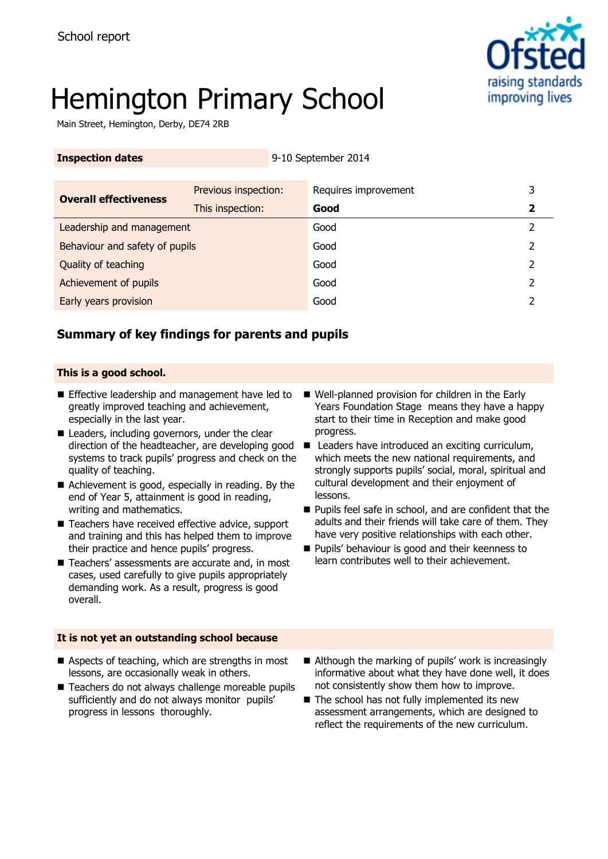

# Hemington Primary School

Main Street, Hemington, Derby, DE74 2RB

| <b>Inspection dates</b>        |                      | 9-10 September 2014  |   |
|--------------------------------|----------------------|----------------------|---|
|                                |                      |                      |   |
| <b>Overall effectiveness</b>   | Previous inspection: | Requires improvement | 3 |
|                                | This inspection:     | Good                 | 2 |
| Leadership and management      |                      | Good                 | 2 |
| Behaviour and safety of pupils |                      | Good                 | 2 |
| Quality of teaching            |                      | Good                 | 2 |
| Achievement of pupils          |                      | Good                 | 2 |
| Early years provision          |                      | Good                 |   |

### **Summary of key findings for parents and pupils**

#### **This is a good school.**

- **Effective leadership and management have led to** greatly improved teaching and achievement, especially in the last year.
- Leaders, including governors, under the clear direction of the headteacher, are developing good systems to track pupils' progress and check on the quality of teaching.
- Achievement is good, especially in reading. By the end of Year 5, attainment is good in reading, writing and mathematics.
- Teachers have received effective advice, support and training and this has helped them to improve their practice and hence pupils' progress.
- Teachers' assessments are accurate and, in most cases, used carefully to give pupils appropriately demanding work. As a result, progress is good overall.
- **It is not yet an outstanding school because**
- Aspects of teaching, which are strengths in most lessons, are occasionally weak in others.
- Teachers do not always challenge moreable pupils sufficiently and do not always monitor pupils' progress in lessons thoroughly.
- Well-planned provision for children in the Early Years Foundation Stage means they have a happy start to their time in Reception and make good progress.
- Leaders have introduced an exciting curriculum, which meets the new national requirements, and strongly supports pupils' social, moral, spiritual and cultural development and their enjoyment of lessons.
- **Pupils feel safe in school, and are confident that the** adults and their friends will take care of them. They have very positive relationships with each other.
- **Pupils' behaviour is good and their keenness to** learn contributes well to their achievement.

- Although the marking of pupils' work is increasingly informative about what they have done well, it does not consistently show them how to improve.
- $\blacksquare$  The school has not fully implemented its new assessment arrangements, which are designed to reflect the requirements of the new curriculum.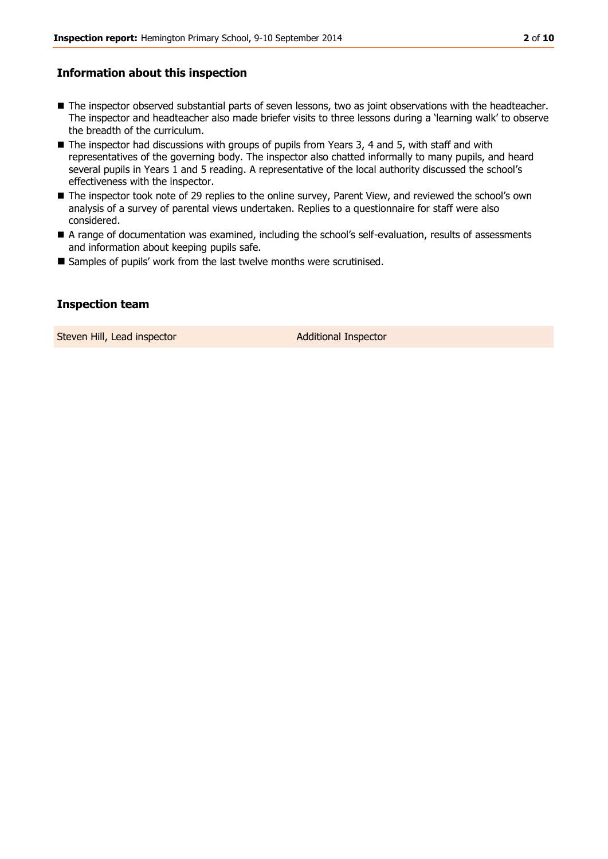#### **Information about this inspection**

- $\blacksquare$  The inspector observed substantial parts of seven lessons, two as joint observations with the headteacher. The inspector and headteacher also made briefer visits to three lessons during a 'learning walk' to observe the breadth of the curriculum.
- The inspector had discussions with groups of pupils from Years 3, 4 and 5, with staff and with representatives of the governing body. The inspector also chatted informally to many pupils, and heard several pupils in Years 1 and 5 reading. A representative of the local authority discussed the school's effectiveness with the inspector.
- The inspector took note of 29 replies to the online survey, Parent View, and reviewed the school's own analysis of a survey of parental views undertaken. Replies to a questionnaire for staff were also considered.
- A range of documentation was examined, including the school's self-evaluation, results of assessments and information about keeping pupils safe.
- Samples of pupils' work from the last twelve months were scrutinised.

#### **Inspection team**

Steven Hill, Lead inspector and a set of Additional Inspector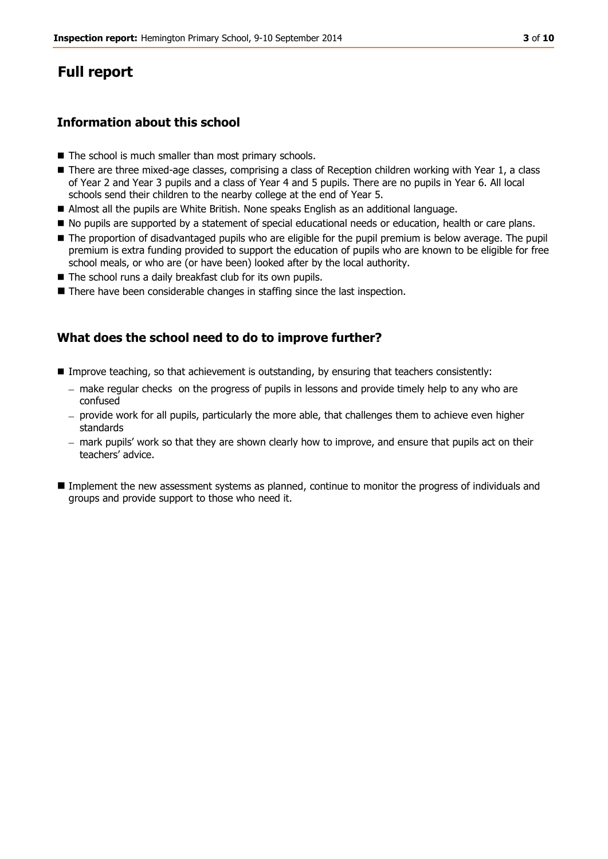## **Full report**

#### **Information about this school**

- $\blacksquare$  The school is much smaller than most primary schools.
- There are three mixed-age classes, comprising a class of Reception children working with Year 1, a class of Year 2 and Year 3 pupils and a class of Year 4 and 5 pupils. There are no pupils in Year 6. All local schools send their children to the nearby college at the end of Year 5.
- Almost all the pupils are White British. None speaks English as an additional language.
- $\blacksquare$  No pupils are supported by a statement of special educational needs or education, health or care plans.
- The proportion of disadvantaged pupils who are eligible for the pupil premium is below average. The pupil premium is extra funding provided to support the education of pupils who are known to be eligible for free school meals, or who are (or have been) looked after by the local authority.
- The school runs a daily breakfast club for its own pupils.
- **There have been considerable changes in staffing since the last inspection.**

#### **What does the school need to do to improve further?**

- **Improve teaching, so that achievement is outstanding, by ensuring that teachers consistently:** 
	- make regular checks on the progress of pupils in lessons and provide timely help to any who are confused
	- provide work for all pupils, particularly the more able, that challenges them to achieve even higher standards
	- mark pupils' work so that they are shown clearly how to improve, and ensure that pupils act on their teachers' advice.
- Implement the new assessment systems as planned, continue to monitor the progress of individuals and groups and provide support to those who need it.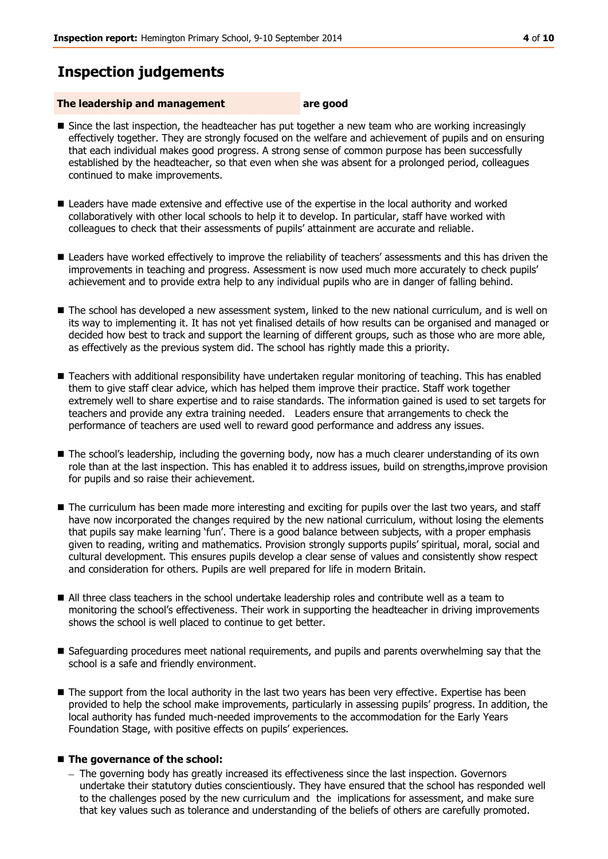## **Inspection judgements**

#### **The leadership and management** are good

- Since the last inspection, the headteacher has put together a new team who are working increasingly effectively together. They are strongly focused on the welfare and achievement of pupils and on ensuring that each individual makes good progress. A strong sense of common purpose has been successfully established by the headteacher, so that even when she was absent for a prolonged period, colleagues continued to make improvements.
- **E** Leaders have made extensive and effective use of the expertise in the local authority and worked collaboratively with other local schools to help it to develop. In particular, staff have worked with colleagues to check that their assessments of pupils' attainment are accurate and reliable.
- **Leaders have worked effectively to improve the reliability of teachers' assessments and this has driven the** improvements in teaching and progress. Assessment is now used much more accurately to check pupils' achievement and to provide extra help to any individual pupils who are in danger of falling behind.
- The school has developed a new assessment system, linked to the new national curriculum, and is well on its way to implementing it. It has not yet finalised details of how results can be organised and managed or decided how best to track and support the learning of different groups, such as those who are more able, as effectively as the previous system did. The school has rightly made this a priority.
- **Teachers with additional responsibility have undertaken regular monitoring of teaching. This has enabled** them to give staff clear advice, which has helped them improve their practice. Staff work together extremely well to share expertise and to raise standards. The information gained is used to set targets for teachers and provide any extra training needed. Leaders ensure that arrangements to check the performance of teachers are used well to reward good performance and address any issues.
- The school's leadership, including the governing body, now has a much clearer understanding of its own role than at the last inspection. This has enabled it to address issues, build on strengths,improve provision for pupils and so raise their achievement.
- The curriculum has been made more interesting and exciting for pupils over the last two years, and staff have now incorporated the changes required by the new national curriculum, without losing the elements that pupils say make learning 'fun'. There is a good balance between subjects, with a proper emphasis given to reading, writing and mathematics. Provision strongly supports pupils' spiritual, moral, social and cultural development. This ensures pupils develop a clear sense of values and consistently show respect and consideration for others. Pupils are well prepared for life in modern Britain.
- All three class teachers in the school undertake leadership roles and contribute well as a team to monitoring the school's effectiveness. Their work in supporting the headteacher in driving improvements shows the school is well placed to continue to get better.
- Safeguarding procedures meet national requirements, and pupils and parents overwhelming say that the school is a safe and friendly environment.
- $\blacksquare$  The support from the local authority in the last two years has been very effective. Expertise has been provided to help the school make improvements, particularly in assessing pupils' progress. In addition, the local authority has funded much-needed improvements to the accommodation for the Early Years Foundation Stage, with positive effects on pupils' experiences.

#### ■ The governance of the school:

- The governing body has greatly increased its effectiveness since the last inspection. Governors undertake their statutory duties conscientiously. They have ensured that the school has responded well to the challenges posed by the new curriculum and the implications for assessment, and make sure that key values such as tolerance and understanding of the beliefs of others are carefully promoted.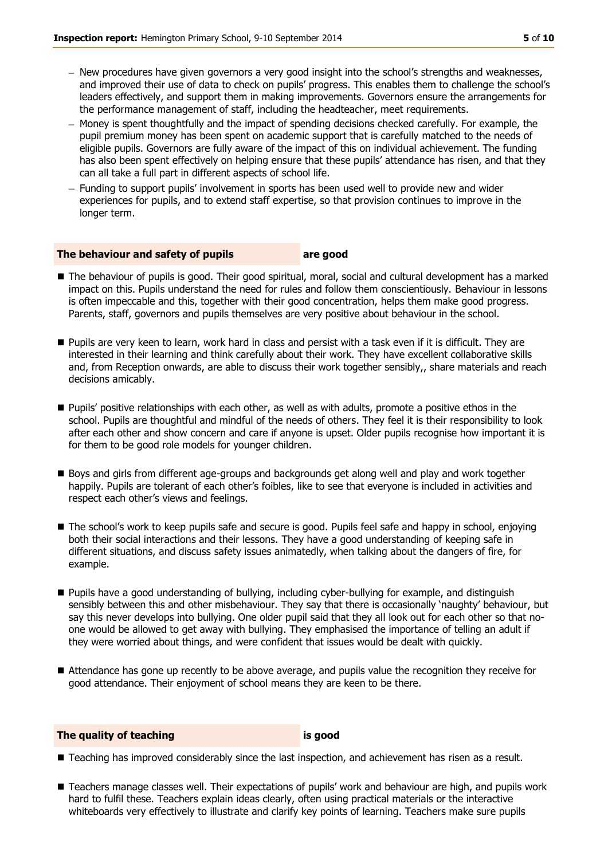- New procedures have given governors a very good insight into the school's strengths and weaknesses. and improved their use of data to check on pupils' progress. This enables them to challenge the school's leaders effectively, and support them in making improvements. Governors ensure the arrangements for the performance management of staff, including the headteacher, meet requirements.
- Money is spent thoughtfully and the impact of spending decisions checked carefully. For example, the pupil premium money has been spent on academic support that is carefully matched to the needs of eligible pupils. Governors are fully aware of the impact of this on individual achievement. The funding has also been spent effectively on helping ensure that these pupils' attendance has risen, and that they can all take a full part in different aspects of school life.
- Funding to support pupils' involvement in sports has been used well to provide new and wider experiences for pupils, and to extend staff expertise, so that provision continues to improve in the longer term.

#### **The behaviour and safety of pupils are good**

- The behaviour of pupils is good. Their good spiritual, moral, social and cultural development has a marked impact on this. Pupils understand the need for rules and follow them conscientiously. Behaviour in lessons is often impeccable and this, together with their good concentration, helps them make good progress. Parents, staff, governors and pupils themselves are very positive about behaviour in the school.
- Pupils are very keen to learn, work hard in class and persist with a task even if it is difficult. They are interested in their learning and think carefully about their work. They have excellent collaborative skills and, from Reception onwards, are able to discuss their work together sensibly,, share materials and reach decisions amicably.
- **Pupils' positive relationships with each other, as well as with adults, promote a positive ethos in the** school. Pupils are thoughtful and mindful of the needs of others. They feel it is their responsibility to look after each other and show concern and care if anyone is upset. Older pupils recognise how important it is for them to be good role models for younger children.
- Boys and girls from different age-groups and backgrounds get along well and play and work together happily. Pupils are tolerant of each other's foibles, like to see that everyone is included in activities and respect each other's views and feelings.
- The school's work to keep pupils safe and secure is good. Pupils feel safe and happy in school, enjoying both their social interactions and their lessons. They have a good understanding of keeping safe in different situations, and discuss safety issues animatedly, when talking about the dangers of fire, for example.
- **Pupils have a good understanding of bullying, including cyber-bullying for example, and distinguish** sensibly between this and other misbehaviour. They say that there is occasionally 'naughty' behaviour, but say this never develops into bullying. One older pupil said that they all look out for each other so that noone would be allowed to get away with bullying. They emphasised the importance of telling an adult if they were worried about things, and were confident that issues would be dealt with quickly.
- Attendance has gone up recently to be above average, and pupils value the recognition they receive for good attendance. Their enjoyment of school means they are keen to be there.

#### **The quality of teaching is good**

- **Teaching has improved considerably since the last inspection, and achievement has risen as a result.**
- Teachers manage classes well. Their expectations of pupils' work and behaviour are high, and pupils work hard to fulfil these. Teachers explain ideas clearly, often using practical materials or the interactive whiteboards very effectively to illustrate and clarify key points of learning. Teachers make sure pupils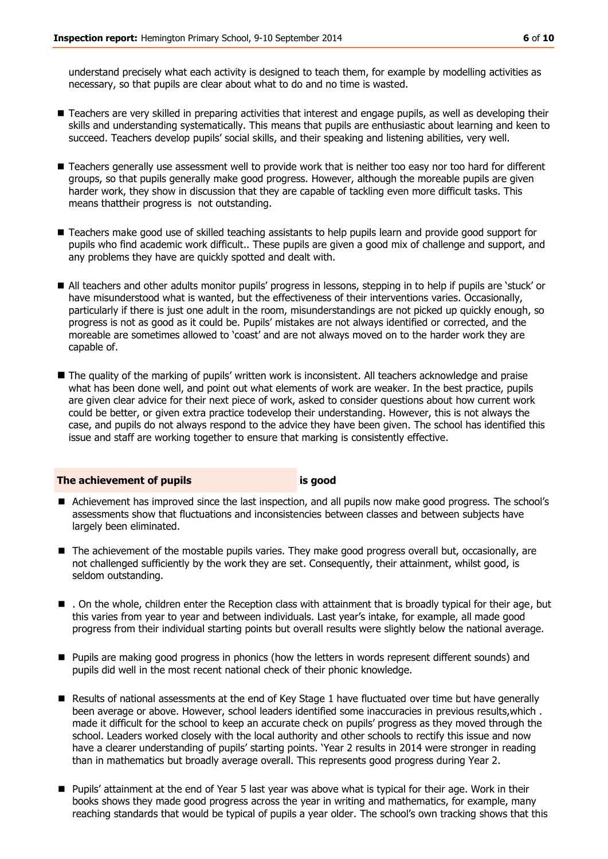understand precisely what each activity is designed to teach them, for example by modelling activities as necessary, so that pupils are clear about what to do and no time is wasted.

- Teachers are very skilled in preparing activities that interest and engage pupils, as well as developing their skills and understanding systematically. This means that pupils are enthusiastic about learning and keen to succeed. Teachers develop pupils' social skills, and their speaking and listening abilities, very well.
- Teachers generally use assessment well to provide work that is neither too easy nor too hard for different groups, so that pupils generally make good progress. However, although the moreable pupils are given harder work, they show in discussion that they are capable of tackling even more difficult tasks. This means thattheir progress is not outstanding.
- Teachers make good use of skilled teaching assistants to help pupils learn and provide good support for pupils who find academic work difficult.. These pupils are given a good mix of challenge and support, and any problems they have are quickly spotted and dealt with.
- All teachers and other adults monitor pupils' progress in lessons, stepping in to help if pupils are 'stuck' or have misunderstood what is wanted, but the effectiveness of their interventions varies. Occasionally, particularly if there is just one adult in the room, misunderstandings are not picked up quickly enough, so progress is not as good as it could be. Pupils' mistakes are not always identified or corrected, and the moreable are sometimes allowed to 'coast' and are not always moved on to the harder work they are capable of.
- The quality of the marking of pupils' written work is inconsistent. All teachers acknowledge and praise what has been done well, and point out what elements of work are weaker. In the best practice, pupils are given clear advice for their next piece of work, asked to consider questions about how current work could be better, or given extra practice todevelop their understanding. However, this is not always the case, and pupils do not always respond to the advice they have been given. The school has identified this issue and staff are working together to ensure that marking is consistently effective.

#### **The achievement of pupils is good**

- Achievement has improved since the last inspection, and all pupils now make good progress. The school's assessments show that fluctuations and inconsistencies between classes and between subjects have largely been eliminated.
- The achievement of the mostable pupils varies. They make good progress overall but, occasionally, are not challenged sufficiently by the work they are set. Consequently, their attainment, whilst good, is seldom outstanding.
- . On the whole, children enter the Reception class with attainment that is broadly typical for their age, but this varies from year to year and between individuals. Last year's intake, for example, all made good progress from their individual starting points but overall results were slightly below the national average.
- **Pupils are making good progress in phonics (how the letters in words represent different sounds) and** pupils did well in the most recent national check of their phonic knowledge.
- **Results of national assessments at the end of Key Stage 1 have fluctuated over time but have generally** been average or above. However, school leaders identified some inaccuracies in previous results,which . made it difficult for the school to keep an accurate check on pupils' progress as they moved through the school. Leaders worked closely with the local authority and other schools to rectify this issue and now have a clearer understanding of pupils' starting points. 'Year 2 results in 2014 were stronger in reading than in mathematics but broadly average overall. This represents good progress during Year 2.
- Pupils' attainment at the end of Year 5 last year was above what is typical for their age. Work in their books shows they made good progress across the year in writing and mathematics, for example, many reaching standards that would be typical of pupils a year older. The school's own tracking shows that this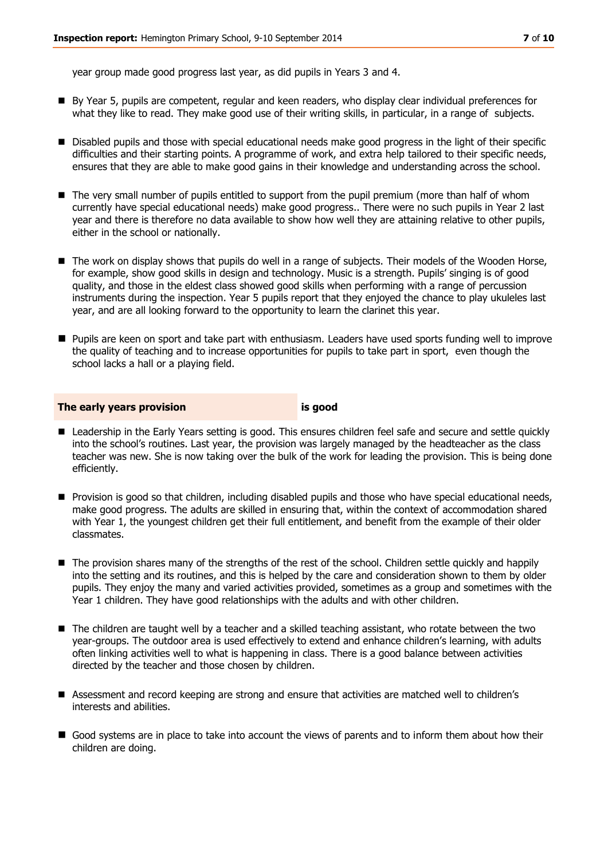year group made good progress last year, as did pupils in Years 3 and 4.

- By Year 5, pupils are competent, regular and keen readers, who display clear individual preferences for what they like to read. They make good use of their writing skills, in particular, in a range of subjects.
- **Disabled pupils and those with special educational needs make good progress in the light of their specific** difficulties and their starting points. A programme of work, and extra help tailored to their specific needs, ensures that they are able to make good gains in their knowledge and understanding across the school.
- The very small number of pupils entitled to support from the pupil premium (more than half of whom currently have special educational needs) make good progress.. There were no such pupils in Year 2 last year and there is therefore no data available to show how well they are attaining relative to other pupils, either in the school or nationally.
- The work on display shows that pupils do well in a range of subjects. Their models of the Wooden Horse, for example, show good skills in design and technology. Music is a strength. Pupils' singing is of good quality, and those in the eldest class showed good skills when performing with a range of percussion instruments during the inspection. Year 5 pupils report that they enjoyed the chance to play ukuleles last year, and are all looking forward to the opportunity to learn the clarinet this year.
- Pupils are keen on sport and take part with enthusiasm. Leaders have used sports funding well to improve the quality of teaching and to increase opportunities for pupils to take part in sport, even though the school lacks a hall or a playing field.

#### **The early years provision is good**

- Leadership in the Early Years setting is good. This ensures children feel safe and secure and settle quickly into the school's routines. Last year, the provision was largely managed by the headteacher as the class teacher was new. She is now taking over the bulk of the work for leading the provision. This is being done efficiently.
- **Provision is good so that children, including disabled pupils and those who have special educational needs,** make good progress. The adults are skilled in ensuring that, within the context of accommodation shared with Year 1, the youngest children get their full entitlement, and benefit from the example of their older classmates.
- The provision shares many of the strengths of the rest of the school. Children settle quickly and happily into the setting and its routines, and this is helped by the care and consideration shown to them by older pupils. They enjoy the many and varied activities provided, sometimes as a group and sometimes with the Year 1 children. They have good relationships with the adults and with other children.
- The children are taught well by a teacher and a skilled teaching assistant, who rotate between the two year-groups. The outdoor area is used effectively to extend and enhance children's learning, with adults often linking activities well to what is happening in class. There is a good balance between activities directed by the teacher and those chosen by children.
- Assessment and record keeping are strong and ensure that activities are matched well to children's interests and abilities.
- Good systems are in place to take into account the views of parents and to inform them about how their children are doing.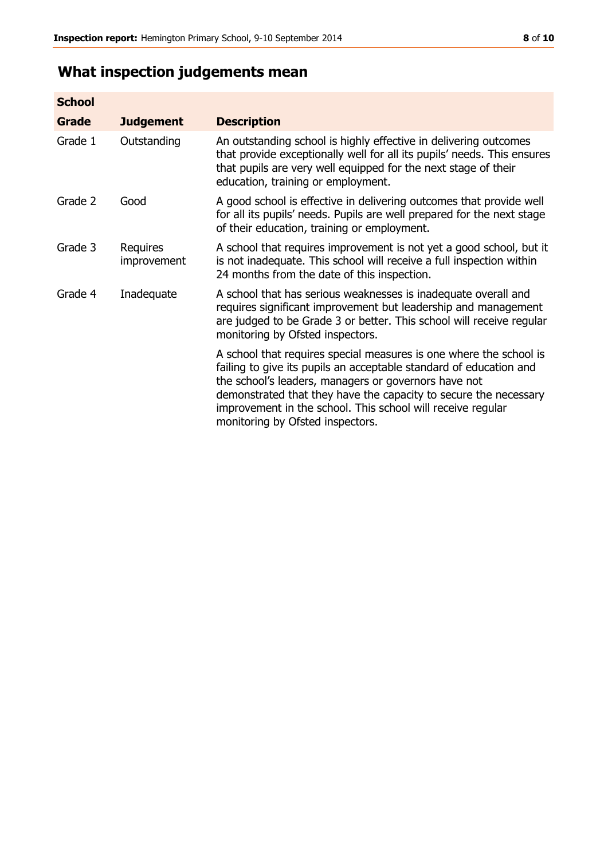## **What inspection judgements mean**

| <b>School</b> |                         |                                                                                                                                                                                                                                                                                                                                                                         |
|---------------|-------------------------|-------------------------------------------------------------------------------------------------------------------------------------------------------------------------------------------------------------------------------------------------------------------------------------------------------------------------------------------------------------------------|
| <b>Grade</b>  | <b>Judgement</b>        | <b>Description</b>                                                                                                                                                                                                                                                                                                                                                      |
| Grade 1       | Outstanding             | An outstanding school is highly effective in delivering outcomes<br>that provide exceptionally well for all its pupils' needs. This ensures<br>that pupils are very well equipped for the next stage of their<br>education, training or employment.                                                                                                                     |
| Grade 2       | Good                    | A good school is effective in delivering outcomes that provide well<br>for all its pupils' needs. Pupils are well prepared for the next stage<br>of their education, training or employment.                                                                                                                                                                            |
| Grade 3       | Requires<br>improvement | A school that requires improvement is not yet a good school, but it<br>is not inadequate. This school will receive a full inspection within<br>24 months from the date of this inspection.                                                                                                                                                                              |
| Grade 4       | Inadequate              | A school that has serious weaknesses is inadequate overall and<br>requires significant improvement but leadership and management<br>are judged to be Grade 3 or better. This school will receive regular<br>monitoring by Ofsted inspectors.                                                                                                                            |
|               |                         | A school that requires special measures is one where the school is<br>failing to give its pupils an acceptable standard of education and<br>the school's leaders, managers or governors have not<br>demonstrated that they have the capacity to secure the necessary<br>improvement in the school. This school will receive regular<br>monitoring by Ofsted inspectors. |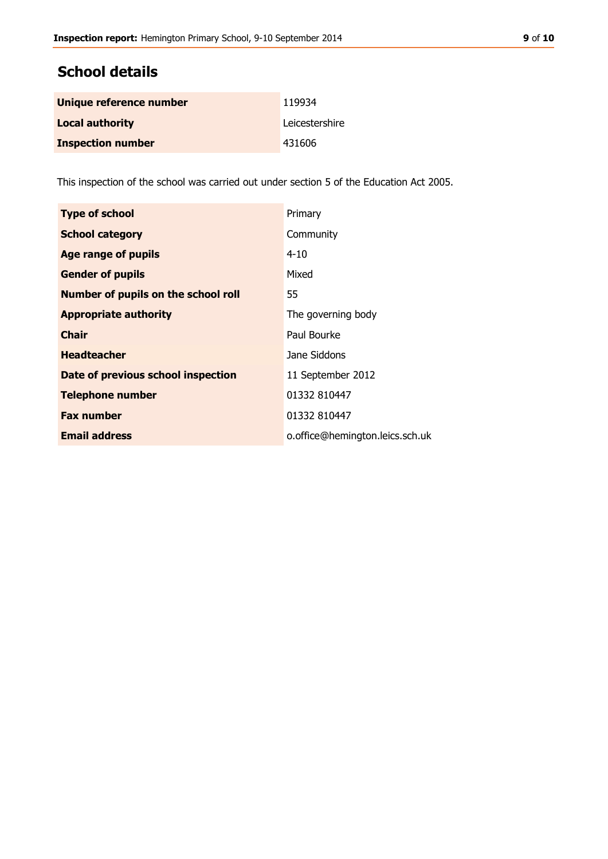## **School details**

| Unique reference number  | 119934         |
|--------------------------|----------------|
| <b>Local authority</b>   | Leicestershire |
| <b>Inspection number</b> | 431606         |

This inspection of the school was carried out under section 5 of the Education Act 2005.

| <b>Type of school</b>                      | Primary                         |
|--------------------------------------------|---------------------------------|
| <b>School category</b>                     | Community                       |
| <b>Age range of pupils</b>                 | $4 - 10$                        |
| <b>Gender of pupils</b>                    | Mixed                           |
| <b>Number of pupils on the school roll</b> | 55                              |
| <b>Appropriate authority</b>               | The governing body              |
| <b>Chair</b>                               | Paul Bourke                     |
| <b>Headteacher</b>                         | Jane Siddons                    |
| Date of previous school inspection         | 11 September 2012               |
| <b>Telephone number</b>                    | 01332 810447                    |
| <b>Fax number</b>                          | 01332 810447                    |
| <b>Email address</b>                       | o.office@hemington.leics.sch.uk |